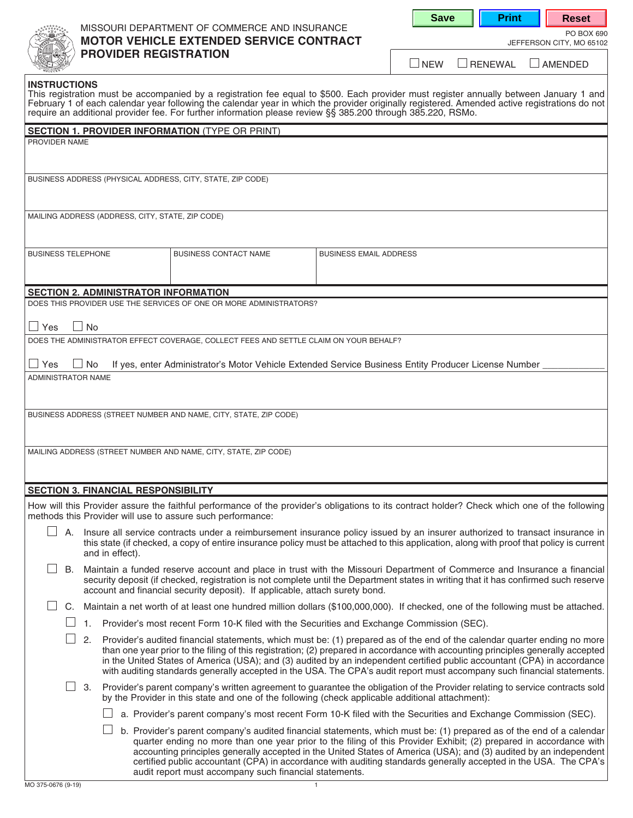# MISSOURI DEPARTMENT OF COMMERCE AND INSURANCE<br>PO BOX 690 **MOTOR VEHICLE EXTENDED SERVICE CONTRACT** SERVICE ON A JEFFERSON CITY, MO 65102 **PROVIDER REGISTRATION**

| NFW | <b>ERENEWAL</b> |  |
|-----|-----------------|--|

 $\Box$  AMENDED

| <b>INSTRUCTIONS</b> |  |
|---------------------|--|
|                     |  |

This registration must be accompanied by a registration fee equal to \$500. Each provider must register annually between January 1 and February 1 of each calendar year following the calendar year in which the provider originally registered. Amended active registrations do not require an additional provider fee. For further information please review §§ 385.200 through 385.220, RSMo.

| <b>SECTION 1. PROVIDER INFORMATION (TYPE OR PRINT)</b> |    |                                                                                                                                                                                                                                                                                                                                                   |                                                  |                                                                                       |                                                                                                                                                                                                                                                                                                                                                                                                                                                                                                                      |  |
|--------------------------------------------------------|----|---------------------------------------------------------------------------------------------------------------------------------------------------------------------------------------------------------------------------------------------------------------------------------------------------------------------------------------------------|--------------------------------------------------|---------------------------------------------------------------------------------------|----------------------------------------------------------------------------------------------------------------------------------------------------------------------------------------------------------------------------------------------------------------------------------------------------------------------------------------------------------------------------------------------------------------------------------------------------------------------------------------------------------------------|--|
| PROVIDER NAME                                          |    |                                                                                                                                                                                                                                                                                                                                                   |                                                  |                                                                                       |                                                                                                                                                                                                                                                                                                                                                                                                                                                                                                                      |  |
|                                                        |    |                                                                                                                                                                                                                                                                                                                                                   |                                                  |                                                                                       |                                                                                                                                                                                                                                                                                                                                                                                                                                                                                                                      |  |
|                                                        |    |                                                                                                                                                                                                                                                                                                                                                   |                                                  | BUSINESS ADDRESS (PHYSICAL ADDRESS, CITY, STATE, ZIP CODE)                            |                                                                                                                                                                                                                                                                                                                                                                                                                                                                                                                      |  |
|                                                        |    |                                                                                                                                                                                                                                                                                                                                                   |                                                  |                                                                                       |                                                                                                                                                                                                                                                                                                                                                                                                                                                                                                                      |  |
|                                                        |    |                                                                                                                                                                                                                                                                                                                                                   | MAILING ADDRESS (ADDRESS, CITY, STATE, ZIP CODE) |                                                                                       |                                                                                                                                                                                                                                                                                                                                                                                                                                                                                                                      |  |
|                                                        |    |                                                                                                                                                                                                                                                                                                                                                   |                                                  |                                                                                       |                                                                                                                                                                                                                                                                                                                                                                                                                                                                                                                      |  |
| <b>BUSINESS TELEPHONE</b>                              |    |                                                                                                                                                                                                                                                                                                                                                   |                                                  | <b>BUSINESS CONTACT NAME</b>                                                          | <b>BUSINESS EMAIL ADDRESS</b>                                                                                                                                                                                                                                                                                                                                                                                                                                                                                        |  |
|                                                        |    |                                                                                                                                                                                                                                                                                                                                                   |                                                  |                                                                                       |                                                                                                                                                                                                                                                                                                                                                                                                                                                                                                                      |  |
|                                                        |    |                                                                                                                                                                                                                                                                                                                                                   | <b>SECTION 2. ADMINISTRATOR INFORMATION</b>      |                                                                                       |                                                                                                                                                                                                                                                                                                                                                                                                                                                                                                                      |  |
|                                                        |    |                                                                                                                                                                                                                                                                                                                                                   |                                                  | DOES THIS PROVIDER USE THE SERVICES OF ONE OR MORE ADMINISTRATORS?                    |                                                                                                                                                                                                                                                                                                                                                                                                                                                                                                                      |  |
| $\Box$ Yes                                             |    | $\Box$ No                                                                                                                                                                                                                                                                                                                                         |                                                  |                                                                                       |                                                                                                                                                                                                                                                                                                                                                                                                                                                                                                                      |  |
|                                                        |    |                                                                                                                                                                                                                                                                                                                                                   |                                                  | DOES THE ADMINISTRATOR EFFECT COVERAGE, COLLECT FEES AND SETTLE CLAIM ON YOUR BEHALF? |                                                                                                                                                                                                                                                                                                                                                                                                                                                                                                                      |  |
| $\Box$ Yes                                             |    | $\Box$ No                                                                                                                                                                                                                                                                                                                                         |                                                  |                                                                                       | If yes, enter Administrator's Motor Vehicle Extended Service Business Entity Producer License Number                                                                                                                                                                                                                                                                                                                                                                                                                 |  |
| ADMINISTRATOR NAME                                     |    |                                                                                                                                                                                                                                                                                                                                                   |                                                  |                                                                                       |                                                                                                                                                                                                                                                                                                                                                                                                                                                                                                                      |  |
|                                                        |    |                                                                                                                                                                                                                                                                                                                                                   |                                                  |                                                                                       |                                                                                                                                                                                                                                                                                                                                                                                                                                                                                                                      |  |
|                                                        |    |                                                                                                                                                                                                                                                                                                                                                   |                                                  | BUSINESS ADDRESS (STREET NUMBER AND NAME, CITY, STATE, ZIP CODE)                      |                                                                                                                                                                                                                                                                                                                                                                                                                                                                                                                      |  |
|                                                        |    |                                                                                                                                                                                                                                                                                                                                                   |                                                  |                                                                                       |                                                                                                                                                                                                                                                                                                                                                                                                                                                                                                                      |  |
|                                                        |    |                                                                                                                                                                                                                                                                                                                                                   |                                                  |                                                                                       |                                                                                                                                                                                                                                                                                                                                                                                                                                                                                                                      |  |
|                                                        |    |                                                                                                                                                                                                                                                                                                                                                   |                                                  | MAILING ADDRESS (STREET NUMBER AND NAME, CITY, STATE, ZIP CODE)                       |                                                                                                                                                                                                                                                                                                                                                                                                                                                                                                                      |  |
|                                                        |    |                                                                                                                                                                                                                                                                                                                                                   |                                                  |                                                                                       |                                                                                                                                                                                                                                                                                                                                                                                                                                                                                                                      |  |
|                                                        |    |                                                                                                                                                                                                                                                                                                                                                   | <b>SECTION 3. FINANCIAL RESPONSIBILITY</b>       |                                                                                       |                                                                                                                                                                                                                                                                                                                                                                                                                                                                                                                      |  |
|                                                        |    |                                                                                                                                                                                                                                                                                                                                                   |                                                  | methods this Provider will use to assure such performance:                            | How will this Provider assure the faithful performance of the provider's obligations to its contract holder? Check which one of the following                                                                                                                                                                                                                                                                                                                                                                        |  |
|                                                        |    |                                                                                                                                                                                                                                                                                                                                                   |                                                  |                                                                                       | A. Insure all service contracts under a reimbursement insurance policy issued by an insurer authorized to transact insurance in<br>this state (if checked, a copy of entire insurance policy must be attached to this application, along with proof that policy is current                                                                                                                                                                                                                                           |  |
|                                                        |    |                                                                                                                                                                                                                                                                                                                                                   | and in effect).                                  |                                                                                       |                                                                                                                                                                                                                                                                                                                                                                                                                                                                                                                      |  |
|                                                        |    | B. Maintain a funded reserve account and place in trust with the Missouri Department of Commerce and Insurance a financial<br>security deposit (if checked, registration is not complete until the Department states in writing that it has confirmed such reserve<br>account and financial security deposit). If applicable, attach surety bond. |                                                  |                                                                                       |                                                                                                                                                                                                                                                                                                                                                                                                                                                                                                                      |  |
|                                                        | C. |                                                                                                                                                                                                                                                                                                                                                   |                                                  |                                                                                       | Maintain a net worth of at least one hundred million dollars (\$100,000,000). If checked, one of the following must be attached.                                                                                                                                                                                                                                                                                                                                                                                     |  |
|                                                        |    | 1.                                                                                                                                                                                                                                                                                                                                                |                                                  |                                                                                       | Provider's most recent Form 10-K filed with the Securities and Exchange Commission (SEC).                                                                                                                                                                                                                                                                                                                                                                                                                            |  |
|                                                        |    | 2.                                                                                                                                                                                                                                                                                                                                                |                                                  |                                                                                       | Provider's audited financial statements, which must be: (1) prepared as of the end of the calendar quarter ending no more<br>than one year prior to the filing of this registration; (2) prepared in accordance with accounting principles generally accepted<br>in the United States of America (USA); and (3) audited by an independent certified public accountant (CPA) in accordance<br>with auditing standards generally accepted in the USA. The CPA's audit report must accompany such financial statements. |  |
|                                                        |    | 3.                                                                                                                                                                                                                                                                                                                                                |                                                  |                                                                                       | Provider's parent company's written agreement to guarantee the obligation of the Provider relating to service contracts sold<br>by the Provider in this state and one of the following (check applicable additional attachment):                                                                                                                                                                                                                                                                                     |  |
|                                                        |    |                                                                                                                                                                                                                                                                                                                                                   |                                                  |                                                                                       | a. Provider's parent company's most recent Form 10-K filed with the Securities and Exchange Commission (SEC).                                                                                                                                                                                                                                                                                                                                                                                                        |  |
|                                                        |    |                                                                                                                                                                                                                                                                                                                                                   |                                                  | audit report must accompany such financial statements.                                | b. Provider's parent company's audited financial statements, which must be: (1) prepared as of the end of a calendar<br>quarter ending no more than one year prior to the filing of this Provider Exhibit; (2) prepared in accordance with<br>accounting principles generally accepted in the United States of America (USA); and (3) audited by an independent<br>certified public accountant (CPA) in accordance with auditing standards generally accepted in the USA. The CPA's                                  |  |